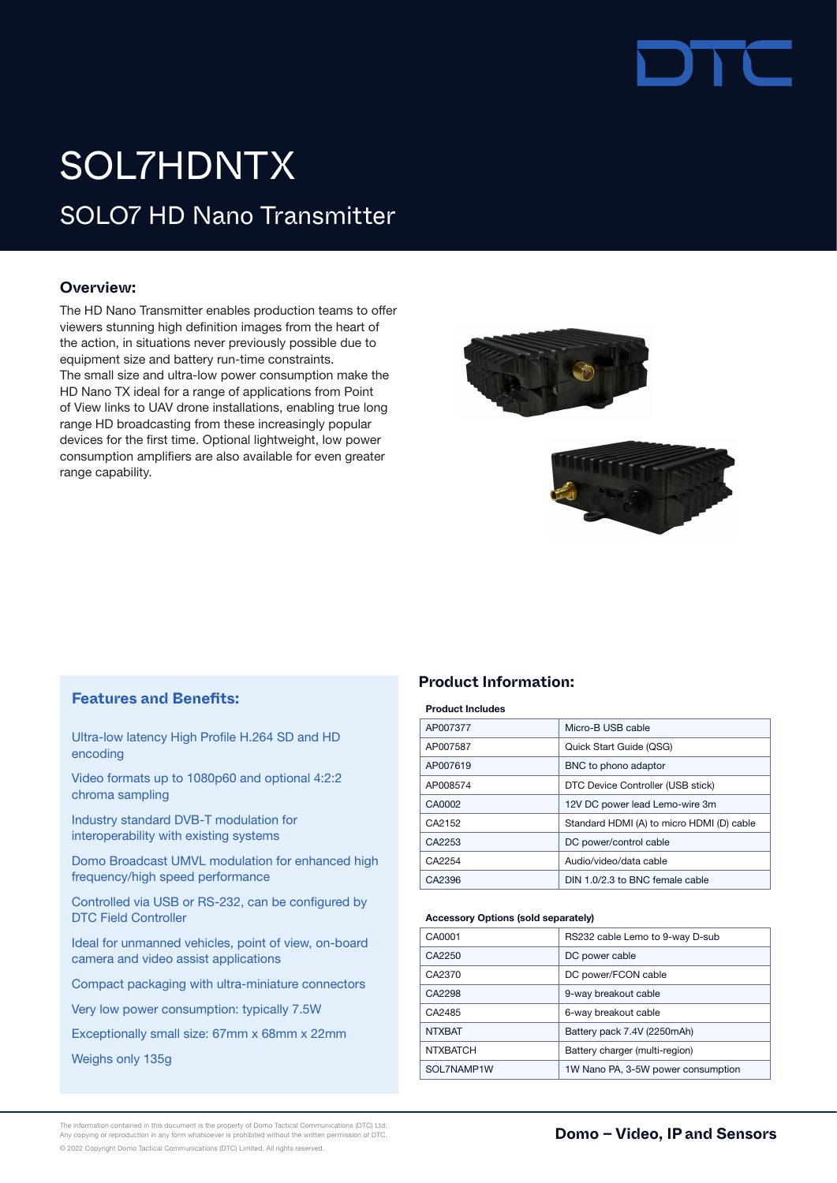

## SOLO7 HD Nano Transmitter SOL7HDNTX

### **Overview:**

The HD Nano Transmitter enables production teams to offer viewers stunning high definition images from the heart of the action, in situations never previously possible due to equipment size and battery run-time constraints. The small size and ultra-low power consumption make the HD Nano TX ideal for a range of applications from Point of View links to UAV drone installations, enabling true long range HD broadcasting from these increasingly popular devices for the first time. Optional lightweight, low power consumption amplifiers are also available for even greater range capability.





### **Features and Benefits:**

Ultra-low latency High Profile H.264 SD and HD encoding

Video formats up to 1080p60 and optional 4:2:2 chroma sampling

Industry standard DVB-T modulation for interoperability with existing systems

Domo Broadcast UMVL modulation for enhanced high frequency/high speed performance

Controlled via USB or RS-232, can be configured by DTC Field Controller

Ideal for unmanned vehicles, point of view, on-board camera and video assist applications

Compact packaging with ultra-miniature connectors

Very low power consumption: typically 7.5W

Exceptionally small size: 67mm x 68mm x 22mm

Weighs only 135g

### **Product Information:**

### Product Includes

| AP007377 | Micro-B USB cable                         |
|----------|-------------------------------------------|
| AP007587 | Quick Start Guide (QSG)                   |
| AP007619 | BNC to phono adaptor                      |
| AP008574 | DTC Device Controller (USB stick)         |
| CA0002   | 12V DC power lead Lemo-wire 3m            |
| CA2152   | Standard HDMI (A) to micro HDMI (D) cable |
| CA2253   | DC power/control cable                    |
| CA2254   | Audio/video/data cable                    |
| CA2396   | DIN 1.0/2.3 to BNC female cable           |

### Accessory Options (sold separately)

| CA0001          | RS232 cable Lemo to 9-way D-sub    |
|-----------------|------------------------------------|
| CA2250          | DC power cable                     |
| CA2370          | DC power/FCON cable                |
| CA2298          | 9-way breakout cable               |
| CA2485          | 6-way breakout cable               |
| <b>NTXBAT</b>   | Battery pack 7.4V (2250mAh)        |
| <b>NTXBATCH</b> | Battery charger (multi-region)     |
| SOL7NAMP1W      | 1W Nano PA, 3-5W power consumption |
|                 |                                    |

The information contained in this document is the property of Domo Tactical Communications (DTC) Ltd.<br>Any copying or reproduction in any form whatsoever is prohibited without the written permission of DTC. **In the communi** © 2022 Copyright Domo Tactical Communications (DTC) Limited. All rights reserved.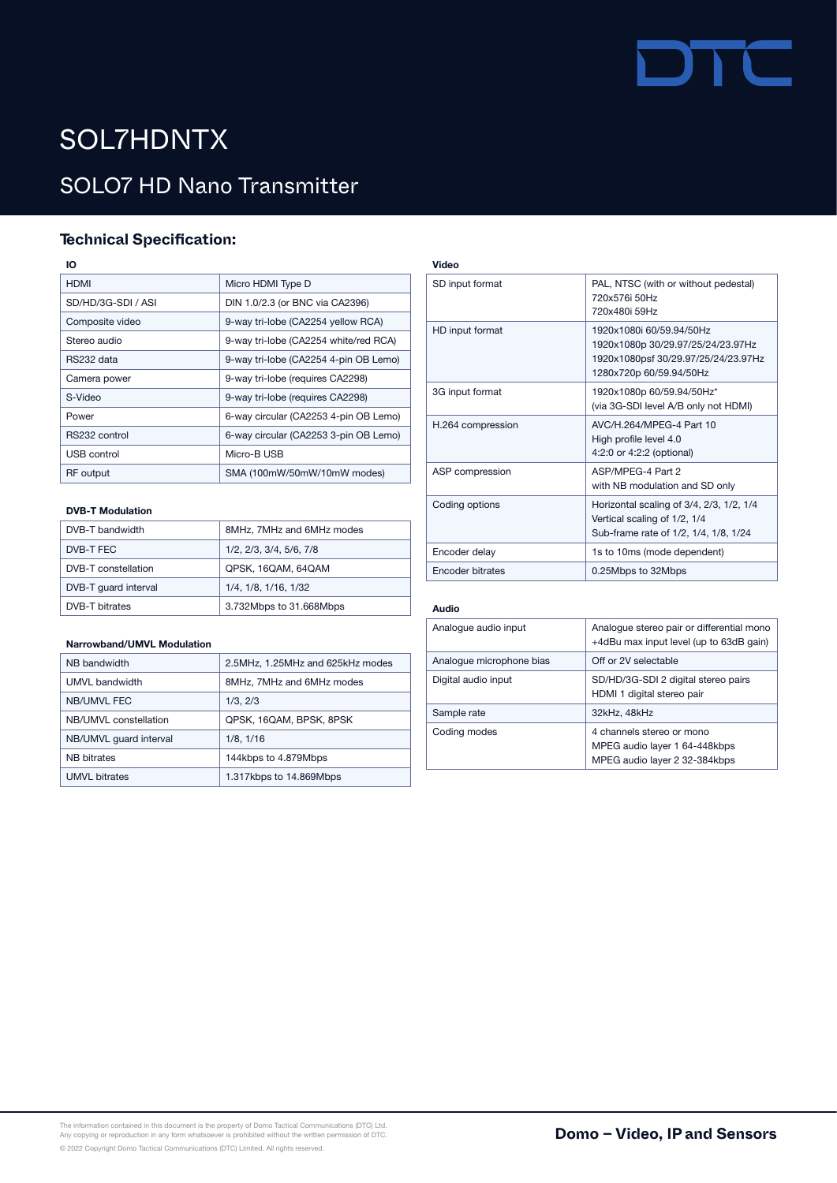# **TITLE**

### SOL7HDNTX

### SOLO7 HD Nano Transmitter

### **Technical Specification:**

IO

| <b>HDMI</b>        | Micro HDMI Type D                     |
|--------------------|---------------------------------------|
| SD/HD/3G-SDI / ASI | DIN 1.0/2.3 (or BNC via CA2396)       |
| Composite video    | 9-way tri-lobe (CA2254 yellow RCA)    |
| Stereo audio       | 9-way tri-lobe (CA2254 white/red RCA) |
| RS232 data         | 9-way tri-lobe (CA2254 4-pin OB Lemo) |
| Camera power       | 9-way tri-lobe (requires CA2298)      |
| S-Video            | 9-way tri-lobe (requires CA2298)      |
| Power              | 6-way circular (CA2253 4-pin OB Lemo) |
| RS232 control      | 6-way circular (CA2253 3-pin OB Lemo) |
| <b>USB control</b> | Micro-B USB                           |
| <b>RF</b> output   | SMA (100mW/50mW/10mW modes)           |
|                    |                                       |

### DVB-T Modulation

| DVB-T bandwidth       | 8MHz, 7MHz and 6MHz modes |
|-----------------------|---------------------------|
| DVB-T FEC             | 1/2, 2/3, 3/4, 5/6, 7/8   |
| DVB-T constellation   | QPSK, 16QAM, 64QAM        |
| DVB-T quard interval  | 1/4, 1/8, 1/16, 1/32      |
| <b>DVB-T</b> bitrates | 3.732Mbps to 31.668Mbps   |

### Narrowband/UMVL Modulation

| NB bandwidth           | 2.5MHz, 1.25MHz and 625kHz modes |
|------------------------|----------------------------------|
| UMVL bandwidth         | 8MHz, 7MHz and 6MHz modes        |
| <b>NB/UMVL FEC</b>     | 1/3, 2/3                         |
| NB/UMVL constellation  | QPSK, 16QAM, BPSK, 8PSK          |
| NB/UMVL quard interval | 1/8, 1/16                        |
| <b>NB</b> bitrates     | 144kbps to 4.879Mbps             |
| <b>UMVL</b> bitrates   | 1.317kbps to 14.869Mbps          |

| Video             |                                                                                                                                 |
|-------------------|---------------------------------------------------------------------------------------------------------------------------------|
| SD input format   | PAL, NTSC (with or without pedestal)<br>720x576i 50Hz<br>720x480i 59Hz                                                          |
| HD input format   | 1920x1080i 60/59 94/50Hz<br>1920x1080p 30/29.97/25/24/23.97Hz<br>1920x1080psf 30/29.97/25/24/23.97Hz<br>1280x720p 60/59.94/50Hz |
| 3G input format   | 1920x1080p 60/59.94/50Hz*<br>(via 3G-SDI level A/B only not HDMI)                                                               |
| H.264 compression | AVC/H 264/MPFG-4 Part 10<br>High profile level 4.0<br>4:2:0 or 4:2:2 (optional)                                                 |
| ASP compression   | ASP/MPFG-4 Part 2<br>with NB modulation and SD only                                                                             |
| Coding options    | Horizontal scaling of 3/4, 2/3, 1/2, 1/4<br>Vertical scaling of 1/2, 1/4<br>Sub-frame rate of 1/2, 1/4, 1/8, 1/24               |
| Encoder delay     | 1s to 10ms (mode dependent)                                                                                                     |
| Encoder bitrates  | 0.25Mbps to 32Mbps                                                                                                              |
|                   |                                                                                                                                 |

### Audio

| Analogue audio input     | Analogue stereo pair or differential mono<br>+4dBu max input level (up to 63dB gain)        |
|--------------------------|---------------------------------------------------------------------------------------------|
| Analogue microphone bias | Off or 2V selectable                                                                        |
| Digital audio input      | SD/HD/3G-SDI 2 digital stereo pairs<br>HDMI 1 digital stereo pair                           |
| Sample rate              | 32kHz, 48kHz                                                                                |
| Coding modes             | 4 channels stereo or mono<br>MPEG audio layer 1 64-448kbps<br>MPEG audio layer 2 32-384kbps |